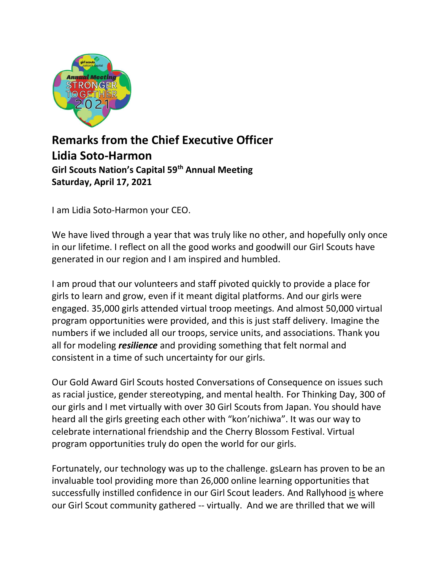

## Remarks from the Chief Executive Officer Lidia Soto-Harmon Girl Scouts Nation's Capital 59th Annual Meeting Saturday, April 17, 2021

I am Lidia Soto-Harmon your CEO.

We have lived through a year that was truly like no other, and hopefully only once in our lifetime. I reflect on all the good works and goodwill our Girl Scouts have generated in our region and I am inspired and humbled.

I am proud that our volunteers and staff pivoted quickly to provide a place for girls to learn and grow, even if it meant digital platforms. And our girls were engaged. 35,000 girls attended virtual troop meetings. And almost 50,000 virtual program opportunities were provided, and this is just staff delivery. Imagine the numbers if we included all our troops, service units, and associations. Thank you all for modeling *resilience* and providing something that felt normal and consistent in a time of such uncertainty for our girls.

Our Gold Award Girl Scouts hosted Conversations of Consequence on issues such as racial justice, gender stereotyping, and mental health. For Thinking Day, 300 of our girls and I met virtually with over 30 Girl Scouts from Japan. You should have heard all the girls greeting each other with "kon'nichiwa". It was our way to celebrate international friendship and the Cherry Blossom Festival. Virtual program opportunities truly do open the world for our girls.

Fortunately, our technology was up to the challenge. gsLearn has proven to be an invaluable tool providing more than 26,000 online learning opportunities that successfully instilled confidence in our Girl Scout leaders. And Rallyhood is where our Girl Scout community gathered -- virtually. And we are thrilled that we will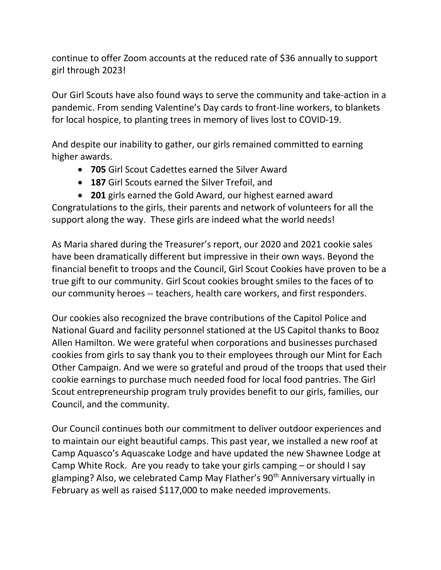continue to offer Zoom accounts at the reduced rate of \$36 annually to support girl through 2023!

Our Girl Scouts have also found ways to serve the community and take-action in a pandemic. From sending Valentine's Day cards to front-line workers, to blankets for local hospice, to planting trees in memory of lives lost to COVID-19.

And despite our inability to gather, our girls remained committed to earning higher awards.

- 705 Girl Scout Cadettes earned the Silver Award
- 187 Girl Scouts earned the Silver Trefoil, and
- 201 girls earned the Gold Award, our highest earned award

Congratulations to the girls, their parents and network of volunteers for all the support along the way. These girls are indeed what the world needs!

As Maria shared during the Treasurer's report, our 2020 and 2021 cookie sales have been dramatically different but impressive in their own ways. Beyond the financial benefit to troops and the Council, Girl Scout Cookies have proven to be a true gift to our community. Girl Scout cookies brought smiles to the faces of to our community heroes -- teachers, health care workers, and first responders.

Our cookies also recognized the brave contributions of the Capitol Police and National Guard and facility personnel stationed at the US Capitol thanks to Booz Allen Hamilton. We were grateful when corporations and businesses purchased cookies from girls to say thank you to their employees through our Mint for Each Other Campaign. And we were so grateful and proud of the troops that used their cookie earnings to purchase much needed food for local food pantries. The Girl Scout entrepreneurship program truly provides benefit to our girls, families, our Council, and the community.

Our Council continues both our commitment to deliver outdoor experiences and to maintain our eight beautiful camps. This past year, we installed a new roof at Camp Aquasco's Aquascake Lodge and have updated the new Shawnee Lodge at Camp White Rock. Are you ready to take your girls camping – or should I say glamping? Also, we celebrated Camp May Flather's 90<sup>th</sup> Anniversary virtually in February as well as raised \$117,000 to make needed improvements.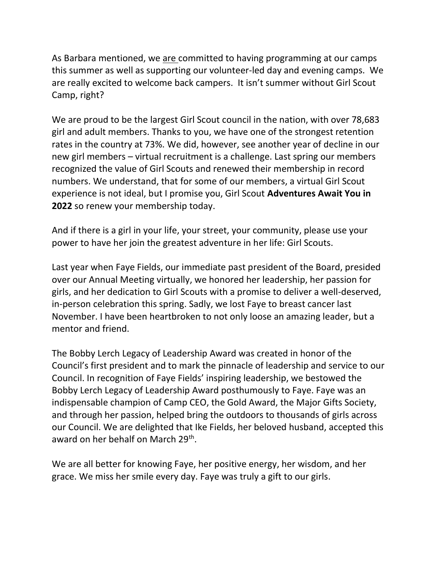As Barbara mentioned, we are committed to having programming at our camps this summer as well as supporting our volunteer-led day and evening camps. We are really excited to welcome back campers. It isn't summer without Girl Scout Camp, right?

We are proud to be the largest Girl Scout council in the nation, with over 78,683 girl and adult members. Thanks to you, we have one of the strongest retention rates in the country at 73%. We did, however, see another year of decline in our new girl members – virtual recruitment is a challenge. Last spring our members recognized the value of Girl Scouts and renewed their membership in record numbers. We understand, that for some of our members, a virtual Girl Scout experience is not ideal, but I promise you, Girl Scout Adventures Await You in 2022 so renew your membership today.

And if there is a girl in your life, your street, your community, please use your power to have her join the greatest adventure in her life: Girl Scouts.

Last year when Faye Fields, our immediate past president of the Board, presided over our Annual Meeting virtually, we honored her leadership, her passion for girls, and her dedication to Girl Scouts with a promise to deliver a well-deserved, in-person celebration this spring. Sadly, we lost Faye to breast cancer last November. I have been heartbroken to not only loose an amazing leader, but a mentor and friend.

The Bobby Lerch Legacy of Leadership Award was created in honor of the Council's first president and to mark the pinnacle of leadership and service to our Council. In recognition of Faye Fields' inspiring leadership, we bestowed the Bobby Lerch Legacy of Leadership Award posthumously to Faye. Faye was an indispensable champion of Camp CEO, the Gold Award, the Major Gifts Society, and through her passion, helped bring the outdoors to thousands of girls across our Council. We are delighted that Ike Fields, her beloved husband, accepted this award on her behalf on March 29<sup>th</sup>.

We are all better for knowing Faye, her positive energy, her wisdom, and her grace. We miss her smile every day. Faye was truly a gift to our girls.